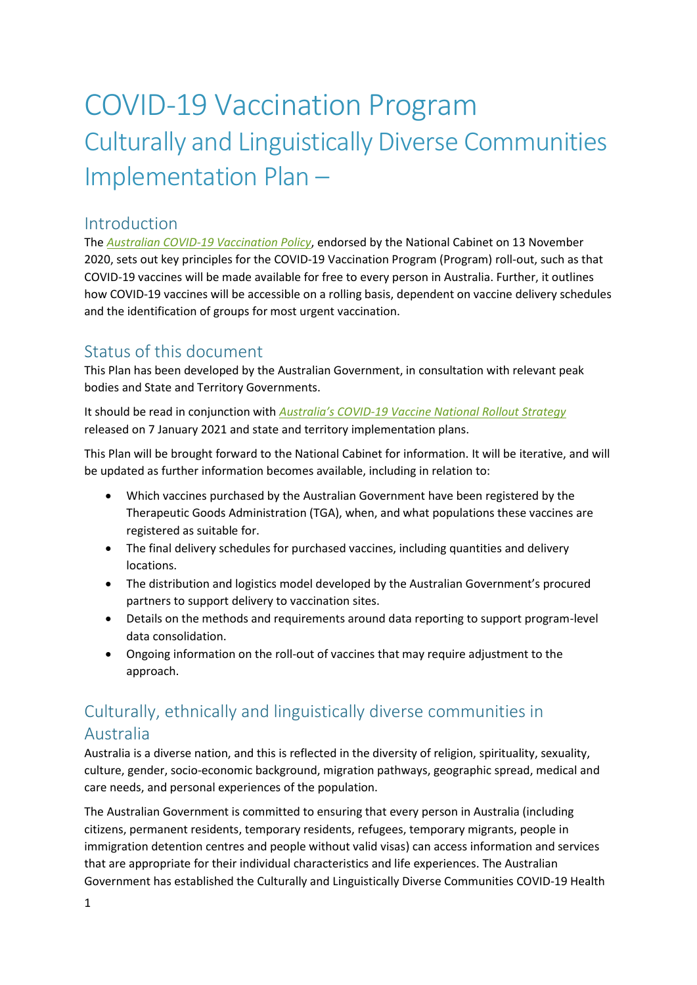# COVID-19 Vaccination Program Culturally and Linguistically Diverse Communities Implementation Plan –

## Introduction

The *[Australian COVID-19 Vaccination Policy](https://www.health.gov.au/news/covid-19-vaccination-policy-endorsement)*, endorsed by the National Cabinet on 13 November 2020, sets out key principles for the COVID-19 Vaccination Program (Program) roll-out, such as that COVID-19 vaccines will be made available for free to every person in Australia. Further, it outlines how COVID-19 vaccines will be accessible on a rolling basis, dependent on vaccine delivery schedules and the identification of groups for most urgent vaccination.

## Status of this document

This Plan has been developed by the Australian Government, in consultation with relevant peak bodies and State and Territory Governments.

It should be read in conjunction with *Australia's COVID[-19 Vaccine National Rollout Strategy](https://www.health.gov.au/news/australias-covid-19-vaccine-national-rollout-strategy)* released on 7 January 2021 and state and territory implementation plans.

This Plan will be brought forward to the National Cabinet for information. It will be iterative, and will be updated as further information becomes available, including in relation to:

- Which vaccines purchased by the Australian Government have been registered by the Therapeutic Goods Administration (TGA), when, and what populations these vaccines are registered as suitable for.
- The final delivery schedules for purchased vaccines, including quantities and delivery locations.
- The distribution and logistics model developed by the Australian Government's procured partners to support delivery to vaccination sites.
- Details on the methods and requirements around data reporting to support program-level data consolidation.
- Ongoing information on the roll-out of vaccines that may require adjustment to the approach.

# Culturally, ethnically and linguistically diverse communities in Australia

Australia is a diverse nation, and this is reflected in the diversity of religion, spirituality, sexuality, culture, gender, socio-economic background, migration pathways, geographic spread, medical and care needs, and personal experiences of the population.

The Australian Government is committed to ensuring that every person in Australia (including citizens, permanent residents, temporary residents, refugees, temporary migrants, people in immigration detention centres and people without valid visas) can access information and services that are appropriate for their individual characteristics and life experiences. The Australian Government has established the Culturally and Linguistically Diverse Communities COVID-19 Health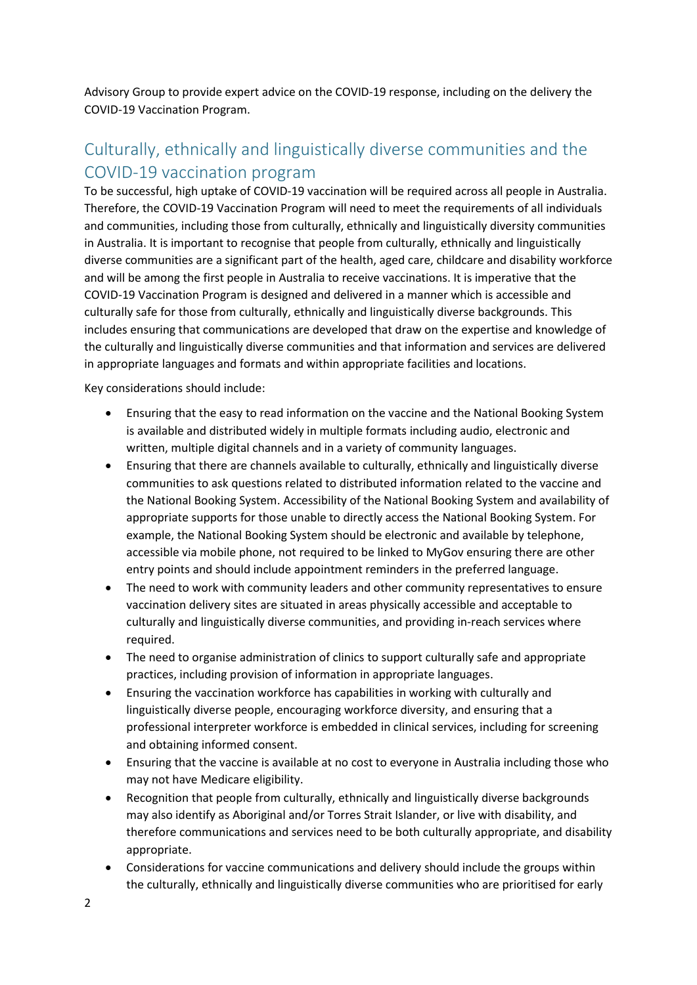Advisory Group to provide expert advice on the COVID-19 response, including on the delivery the COVID-19 Vaccination Program.

# Culturally, ethnically and linguistically diverse communities and the COVID-19 vaccination program

To be successful, high uptake of COVID-19 vaccination will be required across all people in Australia. Therefore, the COVID-19 Vaccination Program will need to meet the requirements of all individuals and communities, including those from culturally, ethnically and linguistically diversity communities in Australia. It is important to recognise that people from culturally, ethnically and linguistically diverse communities are a significant part of the health, aged care, childcare and disability workforce and will be among the first people in Australia to receive vaccinations. It is imperative that the COVID-19 Vaccination Program is designed and delivered in a manner which is accessible and culturally safe for those from culturally, ethnically and linguistically diverse backgrounds. This includes ensuring that communications are developed that draw on the expertise and knowledge of the culturally and linguistically diverse communities and that information and services are delivered in appropriate languages and formats and within appropriate facilities and locations.

Key considerations should include:

- Ensuring that the easy to read information on the vaccine and the National Booking System is available and distributed widely in multiple formats including audio, electronic and written, multiple digital channels and in a variety of community languages.
- Ensuring that there are channels available to culturally, ethnically and linguistically diverse communities to ask questions related to distributed information related to the vaccine and the National Booking System. Accessibility of the National Booking System and availability of appropriate supports for those unable to directly access the National Booking System. For example, the National Booking System should be electronic and available by telephone, accessible via mobile phone, not required to be linked to MyGov ensuring there are other entry points and should include appointment reminders in the preferred language.
- The need to work with community leaders and other community representatives to ensure vaccination delivery sites are situated in areas physically accessible and acceptable to culturally and linguistically diverse communities, and providing in-reach services where required.
- The need to organise administration of clinics to support culturally safe and appropriate practices, including provision of information in appropriate languages.
- Ensuring the vaccination workforce has capabilities in working with culturally and linguistically diverse people, encouraging workforce diversity, and ensuring that a professional interpreter workforce is embedded in clinical services, including for screening and obtaining informed consent.
- Ensuring that the vaccine is available at no cost to everyone in Australia including those who may not have Medicare eligibility.
- Recognition that people from culturally, ethnically and linguistically diverse backgrounds may also identify as Aboriginal and/or Torres Strait Islander, or live with disability, and therefore communications and services need to be both culturally appropriate, and disability appropriate.
- Considerations for vaccine communications and delivery should include the groups within the culturally, ethnically and linguistically diverse communities who are prioritised for early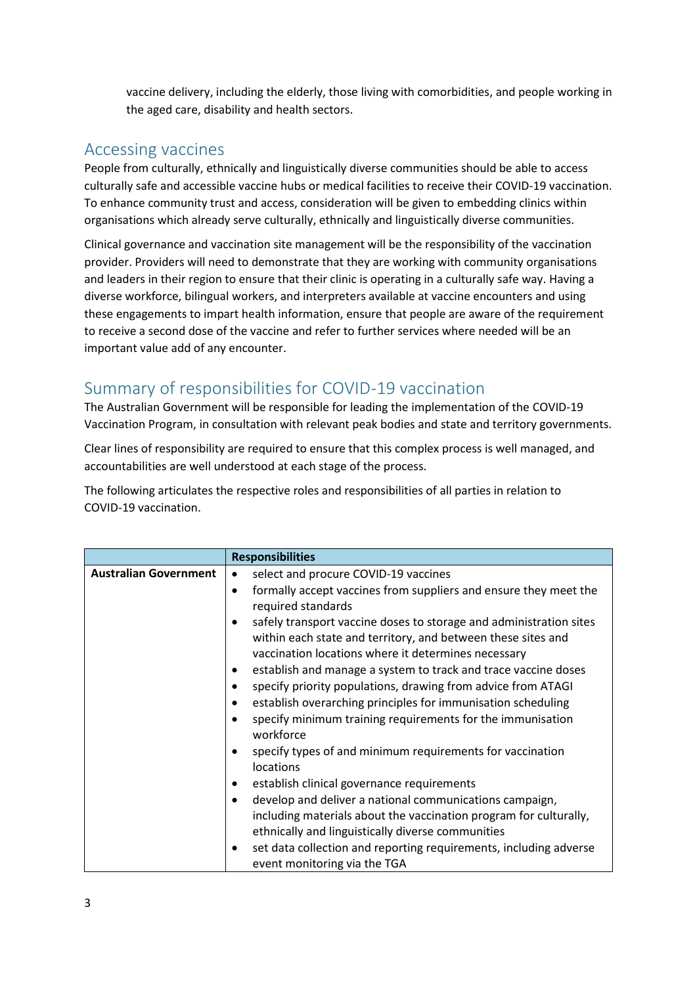vaccine delivery, including the elderly, those living with comorbidities, and people working in the aged care, disability and health sectors.

## Accessing vaccines

People from culturally, ethnically and linguistically diverse communities should be able to access culturally safe and accessible vaccine hubs or medical facilities to receive their COVID-19 vaccination. To enhance community trust and access, consideration will be given to embedding clinics within organisations which already serve culturally, ethnically and linguistically diverse communities.

Clinical governance and vaccination site management will be the responsibility of the vaccination provider. Providers will need to demonstrate that they are working with community organisations and leaders in their region to ensure that their clinic is operating in a culturally safe way. Having a diverse workforce, bilingual workers, and interpreters available at vaccine encounters and using these engagements to impart health information, ensure that people are aware of the requirement to receive a second dose of the vaccine and refer to further services where needed will be an important value add of any encounter.

# Summary of responsibilities for COVID-19 vaccination

The Australian Government will be responsible for leading the implementation of the COVID-19 Vaccination Program, in consultation with relevant peak bodies and state and territory governments.

Clear lines of responsibility are required to ensure that this complex process is well managed, and accountabilities are well understood at each stage of the process.

The following articulates the respective roles and responsibilities of all parties in relation to COVID-19 vaccination.

|                              | <b>Responsibilities</b>                                                                                |
|------------------------------|--------------------------------------------------------------------------------------------------------|
| <b>Australian Government</b> | select and procure COVID-19 vaccines<br>٠                                                              |
|                              | formally accept vaccines from suppliers and ensure they meet the<br>٠                                  |
|                              | required standards                                                                                     |
|                              | safely transport vaccine doses to storage and administration sites<br>$\bullet$                        |
|                              | within each state and territory, and between these sites and                                           |
|                              | vaccination locations where it determines necessary                                                    |
|                              | establish and manage a system to track and trace vaccine doses<br>٠                                    |
|                              | specify priority populations, drawing from advice from ATAGI<br>$\bullet$                              |
|                              | establish overarching principles for immunisation scheduling<br>٠                                      |
|                              | specify minimum training requirements for the immunisation<br>$\bullet$<br>workforce                   |
|                              | specify types of and minimum requirements for vaccination<br>$\bullet$<br>locations                    |
|                              | establish clinical governance requirements<br>$\bullet$                                                |
|                              | develop and deliver a national communications campaign,<br>٠                                           |
|                              | including materials about the vaccination program for culturally,                                      |
|                              | ethnically and linguistically diverse communities                                                      |
|                              | set data collection and reporting requirements, including adverse<br>٠<br>event monitoring via the TGA |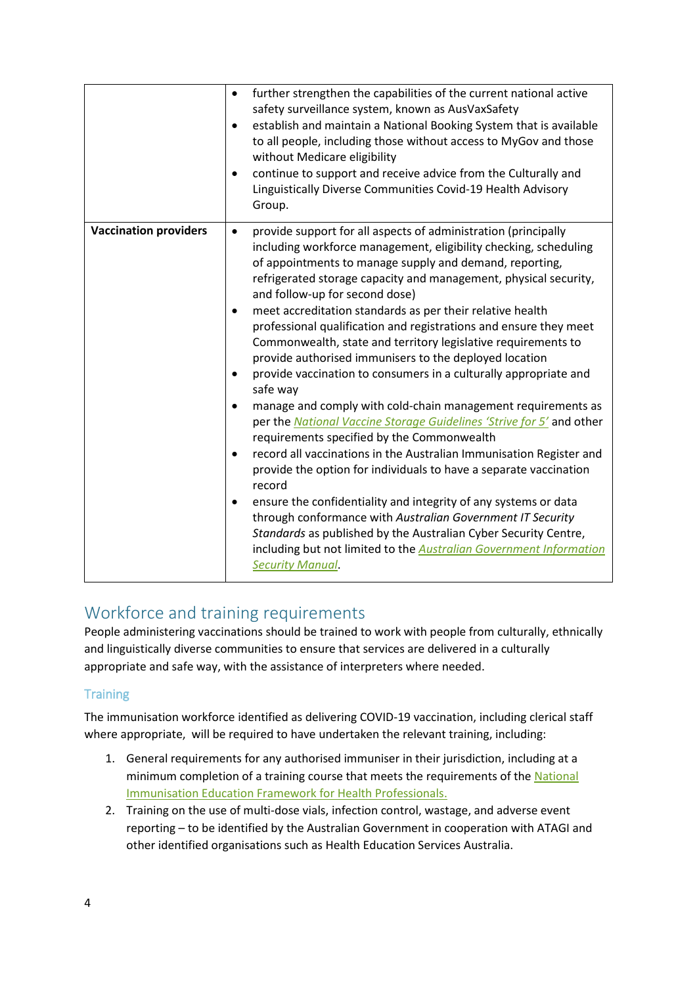|                              | further strengthen the capabilities of the current national active<br>$\bullet$<br>safety surveillance system, known as AusVaxSafety<br>establish and maintain a National Booking System that is available<br>$\bullet$<br>to all people, including those without access to MyGov and those<br>without Medicare eligibility<br>continue to support and receive advice from the Culturally and<br>$\bullet$<br>Linguistically Diverse Communities Covid-19 Health Advisory<br>Group.                                                                                                                                                                                                                                                                                                                                                                                                                                                                                                                                                                                                                                                                                                                                                                                                                                                                                    |
|------------------------------|------------------------------------------------------------------------------------------------------------------------------------------------------------------------------------------------------------------------------------------------------------------------------------------------------------------------------------------------------------------------------------------------------------------------------------------------------------------------------------------------------------------------------------------------------------------------------------------------------------------------------------------------------------------------------------------------------------------------------------------------------------------------------------------------------------------------------------------------------------------------------------------------------------------------------------------------------------------------------------------------------------------------------------------------------------------------------------------------------------------------------------------------------------------------------------------------------------------------------------------------------------------------------------------------------------------------------------------------------------------------|
| <b>Vaccination providers</b> | provide support for all aspects of administration (principally<br>$\bullet$<br>including workforce management, eligibility checking, scheduling<br>of appointments to manage supply and demand, reporting,<br>refrigerated storage capacity and management, physical security,<br>and follow-up for second dose)<br>meet accreditation standards as per their relative health<br>$\bullet$<br>professional qualification and registrations and ensure they meet<br>Commonwealth, state and territory legislative requirements to<br>provide authorised immunisers to the deployed location<br>provide vaccination to consumers in a culturally appropriate and<br>٠<br>safe way<br>manage and comply with cold-chain management requirements as<br>٠<br>per the National Vaccine Storage Guidelines 'Strive for 5' and other<br>requirements specified by the Commonwealth<br>record all vaccinations in the Australian Immunisation Register and<br>$\bullet$<br>provide the option for individuals to have a separate vaccination<br>record<br>ensure the confidentiality and integrity of any systems or data<br>$\bullet$<br>through conformance with Australian Government IT Security<br>Standards as published by the Australian Cyber Security Centre,<br>including but not limited to the <b>Australian Government Information</b><br><b>Security Manual.</b> |

# Workforce and training requirements

People administering vaccinations should be trained to work with people from culturally, ethnically and linguistically diverse communities to ensure that services are delivered in a culturally appropriate and safe way, with the assistance of interpreters where needed.

## **Training**

The immunisation workforce identified as delivering COVID-19 vaccination, including clerical staff where appropriate, will be required to have undertaken the relevant training, including:

- 1. General requirements for any authorised immuniser in their jurisdiction, including at a minimum completion of a training course that meets the requirements of the [National](https://www.health.gov.au/sites/default/files/nat-immun-education-framework-health-profess.pdf)  [Immunisation Education Framework for Health Professionals.](https://www.health.gov.au/sites/default/files/nat-immun-education-framework-health-profess.pdf)
- 2. Training on the use of multi-dose vials, infection control, wastage, and adverse event reporting – to be identified by the Australian Government in cooperation with ATAGI and other identified organisations such as Health Education Services Australia.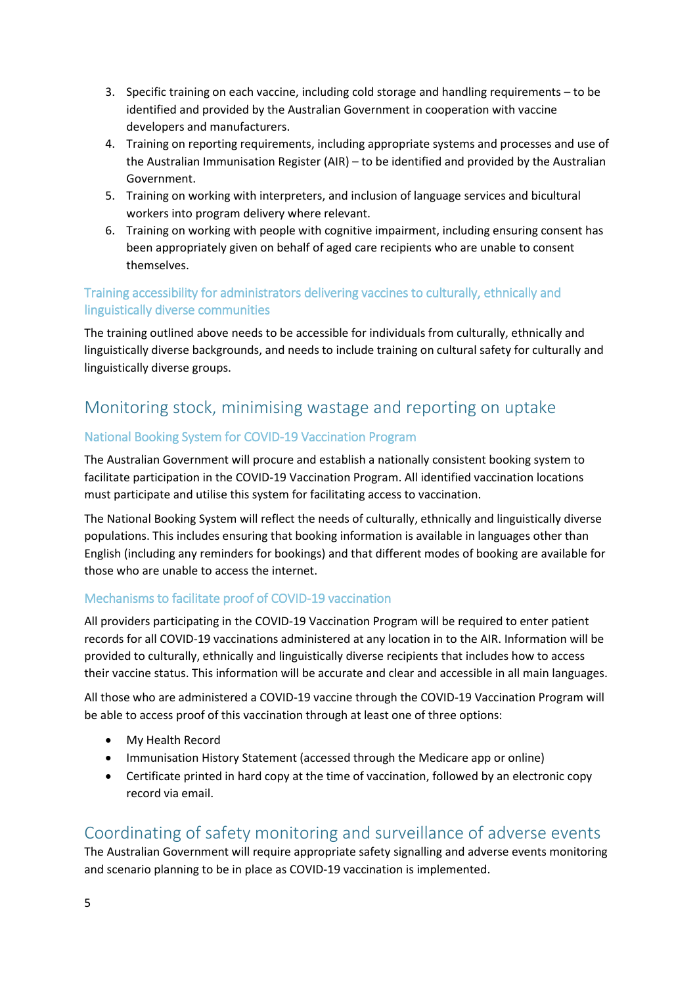- 3. Specific training on each vaccine, including cold storage and handling requirements to be identified and provided by the Australian Government in cooperation with vaccine developers and manufacturers.
- 4. Training on reporting requirements, including appropriate systems and processes and use of the Australian Immunisation Register (AIR) – to be identified and provided by the Australian Government.
- 5. Training on working with interpreters, and inclusion of language services and bicultural workers into program delivery where relevant.
- 6. Training on working with people with cognitive impairment, including ensuring consent has been appropriately given on behalf of aged care recipients who are unable to consent themselves.

## Training accessibility for administrators delivering vaccines to culturally, ethnically and linguistically diverse communities

The training outlined above needs to be accessible for individuals from culturally, ethnically and linguistically diverse backgrounds, and needs to include training on cultural safety for culturally and linguistically diverse groups.

# Monitoring stock, minimising wastage and reporting on uptake

## National Booking System for COVID-19 Vaccination Program

The Australian Government will procure and establish a nationally consistent booking system to facilitate participation in the COVID-19 Vaccination Program. All identified vaccination locations must participate and utilise this system for facilitating access to vaccination.

The National Booking System will reflect the needs of culturally, ethnically and linguistically diverse populations. This includes ensuring that booking information is available in languages other than English (including any reminders for bookings) and that different modes of booking are available for those who are unable to access the internet.

## Mechanisms to facilitate proof of COVID-19 vaccination

All providers participating in the COVID-19 Vaccination Program will be required to enter patient records for all COVID-19 vaccinations administered at any location in to the AIR. Information will be provided to culturally, ethnically and linguistically diverse recipients that includes how to access their vaccine status. This information will be accurate and clear and accessible in all main languages.

All those who are administered a COVID-19 vaccine through the COVID-19 Vaccination Program will be able to access proof of this vaccination through at least one of three options:

- My Health Record
- Immunisation History Statement (accessed through the Medicare app or online)
- Certificate printed in hard copy at the time of vaccination, followed by an electronic copy record via email.

# Coordinating of safety monitoring and surveillance of adverse events

The Australian Government will require appropriate safety signalling and adverse events monitoring and scenario planning to be in place as COVID-19 vaccination is implemented.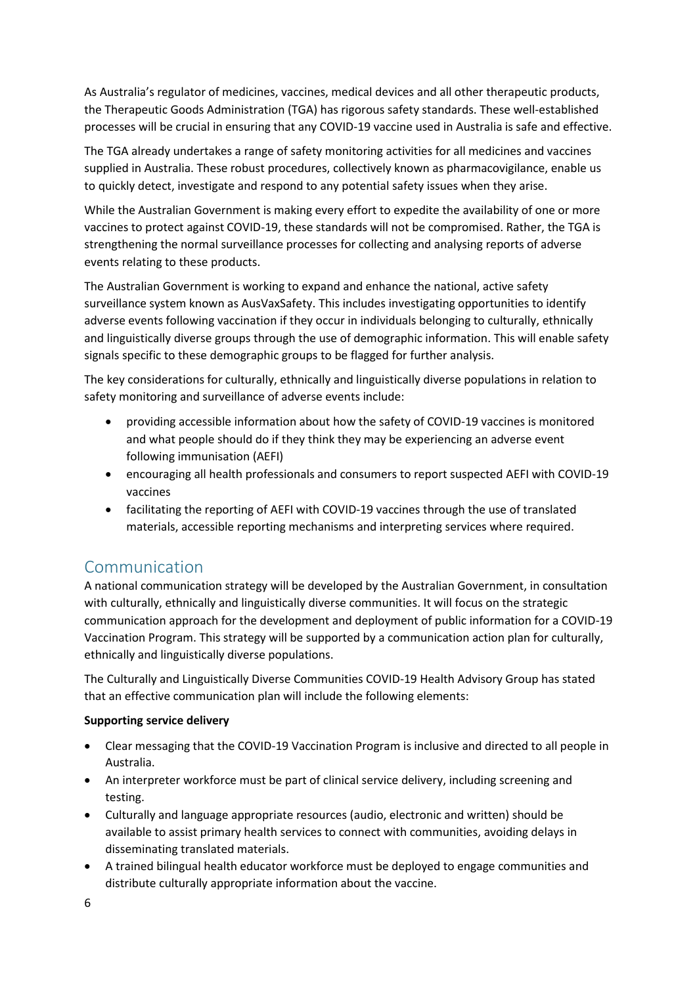As Australia's regulator of medicines, vaccines, medical devices and all other therapeutic products, the Therapeutic Goods Administration (TGA) has rigorous safety standards. These well-established processes will be crucial in ensuring that any COVID-19 vaccine used in Australia is safe and effective.

The TGA already undertakes a range of safety monitoring activities for all medicines and vaccines supplied in Australia. These robust procedures, collectively known as pharmacovigilance, enable us to quickly detect, investigate and respond to any potential safety issues when they arise.

While the Australian Government is making every effort to expedite the availability of one or more vaccines to protect against COVID-19, these standards will not be compromised. Rather, the TGA is strengthening the normal surveillance processes for collecting and analysing reports of adverse events relating to these products.

The Australian Government is working to expand and enhance the national, active safety surveillance system known as AusVaxSafety. This includes investigating opportunities to identify adverse events following vaccination if they occur in individuals belonging to culturally, ethnically and linguistically diverse groups through the use of demographic information. This will enable safety signals specific to these demographic groups to be flagged for further analysis.

The key considerations for culturally, ethnically and linguistically diverse populations in relation to safety monitoring and surveillance of adverse events include:

- providing accessible information about how the safety of COVID-19 vaccines is monitored and what people should do if they think they may be experiencing an adverse event following immunisation (AEFI)
- encouraging all health professionals and consumers to report suspected AEFI with COVID-19 vaccines
- facilitating the reporting of AEFI with COVID-19 vaccines through the use of translated materials, accessible reporting mechanisms and interpreting services where required.

## Communication

A national communication strategy will be developed by the Australian Government, in consultation with culturally, ethnically and linguistically diverse communities. It will focus on the strategic communication approach for the development and deployment of public information for a COVID-19 Vaccination Program. This strategy will be supported by a communication action plan for culturally, ethnically and linguistically diverse populations.

The Culturally and Linguistically Diverse Communities COVID-19 Health Advisory Group has stated that an effective communication plan will include the following elements:

## **Supporting service delivery**

- Clear messaging that the COVID-19 Vaccination Program is inclusive and directed to all people in Australia.
- An interpreter workforce must be part of clinical service delivery, including screening and testing.
- Culturally and language appropriate resources (audio, electronic and written) should be available to assist primary health services to connect with communities, avoiding delays in disseminating translated materials.
- A trained bilingual health educator workforce must be deployed to engage communities and distribute culturally appropriate information about the vaccine.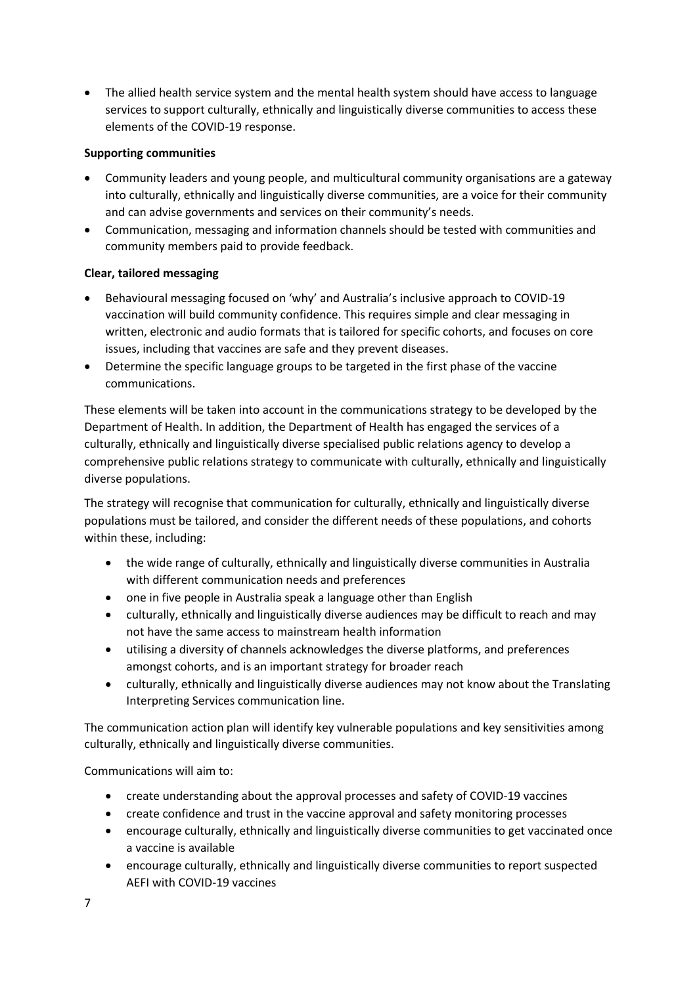• The allied health service system and the mental health system should have access to language services to support culturally, ethnically and linguistically diverse communities to access these elements of the COVID-19 response.

#### **Supporting communities**

- Community leaders and young people, and multicultural community organisations are a gateway into culturally, ethnically and linguistically diverse communities, are a voice for their community and can advise governments and services on their community's needs.
- Communication, messaging and information channels should be tested with communities and community members paid to provide feedback.

#### **Clear, tailored messaging**

- Behavioural messaging focused on 'why' and Australia's inclusive approach to COVID-19 vaccination will build community confidence. This requires simple and clear messaging in written, electronic and audio formats that is tailored for specific cohorts, and focuses on core issues, including that vaccines are safe and they prevent diseases.
- Determine the specific language groups to be targeted in the first phase of the vaccine communications.

These elements will be taken into account in the communications strategy to be developed by the Department of Health. In addition, the Department of Health has engaged the services of a culturally, ethnically and linguistically diverse specialised public relations agency to develop a comprehensive public relations strategy to communicate with culturally, ethnically and linguistically diverse populations.

The strategy will recognise that communication for culturally, ethnically and linguistically diverse populations must be tailored, and consider the different needs of these populations, and cohorts within these, including:

- the wide range of culturally, ethnically and linguistically diverse communities in Australia with different communication needs and preferences
- one in five people in Australia speak a language other than English
- culturally, ethnically and linguistically diverse audiences may be difficult to reach and may not have the same access to mainstream health information
- utilising a diversity of channels acknowledges the diverse platforms, and preferences amongst cohorts, and is an important strategy for broader reach
- culturally, ethnically and linguistically diverse audiences may not know about the Translating Interpreting Services communication line.

The communication action plan will identify key vulnerable populations and key sensitivities among culturally, ethnically and linguistically diverse communities.

Communications will aim to:

- create understanding about the approval processes and safety of COVID-19 vaccines
- create confidence and trust in the vaccine approval and safety monitoring processes
- encourage culturally, ethnically and linguistically diverse communities to get vaccinated once a vaccine is available
- encourage culturally, ethnically and linguistically diverse communities to report suspected AEFI with COVID-19 vaccines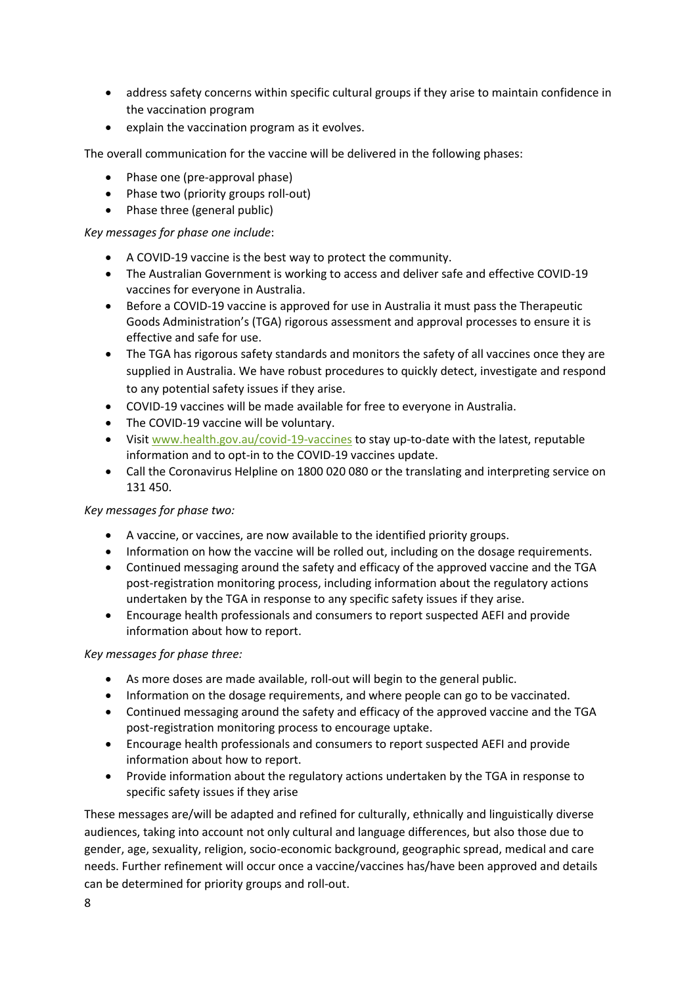- address safety concerns within specific cultural groups if they arise to maintain confidence in the vaccination program
- explain the vaccination program as it evolves.

The overall communication for the vaccine will be delivered in the following phases:

- Phase one (pre-approval phase)
- Phase two (priority groups roll-out)
- Phase three (general public)

## *Key messages for phase one include*:

- A COVID-19 vaccine is the best way to protect the community.
- The Australian Government is working to access and deliver safe and effective COVID-19 vaccines for everyone in Australia.
- Before a COVID-19 vaccine is approved for use in Australia it must pass the Therapeutic Goods Administration's (TGA) rigorous assessment and approval processes to ensure it is effective and safe for use.
- The TGA has rigorous safety standards and monitors the safety of all vaccines once they are supplied in Australia. We have robust procedures to quickly detect, investigate and respond to any potential safety issues if they arise.
- COVID-19 vaccines will be made available for free to everyone in Australia.
- The COVID-19 vaccine will be voluntary.
- Visit [www.health.gov.au/covid-19-vaccines](http://www.health.gov.au/covid-19-vaccines) to stay up-to-date with the latest, reputable information and to opt-in to the COVID-19 vaccines update.
- Call the Coronavirus Helpline on 1800 020 080 or the translating and interpreting service on 131 450.

## *Key messages for phase two:*

- A vaccine, or vaccines, are now available to the identified priority groups.
- Information on how the vaccine will be rolled out, including on the dosage requirements.
- Continued messaging around the safety and efficacy of the approved vaccine and the TGA post-registration monitoring process, including information about the regulatory actions undertaken by the TGA in response to any specific safety issues if they arise.
- Encourage health professionals and consumers to report suspected AEFI and provide information about how to report.

## *Key messages for phase three:*

- As more doses are made available, roll-out will begin to the general public.
- Information on the dosage requirements, and where people can go to be vaccinated.
- Continued messaging around the safety and efficacy of the approved vaccine and the TGA post-registration monitoring process to encourage uptake.
- Encourage health professionals and consumers to report suspected AEFI and provide information about how to report.
- Provide information about the regulatory actions undertaken by the TGA in response to specific safety issues if they arise

These messages are/will be adapted and refined for culturally, ethnically and linguistically diverse audiences, taking into account not only cultural and language differences, but also those due to gender, age, sexuality, religion, socio-economic background, geographic spread, medical and care needs. Further refinement will occur once a vaccine/vaccines has/have been approved and details can be determined for priority groups and roll-out.